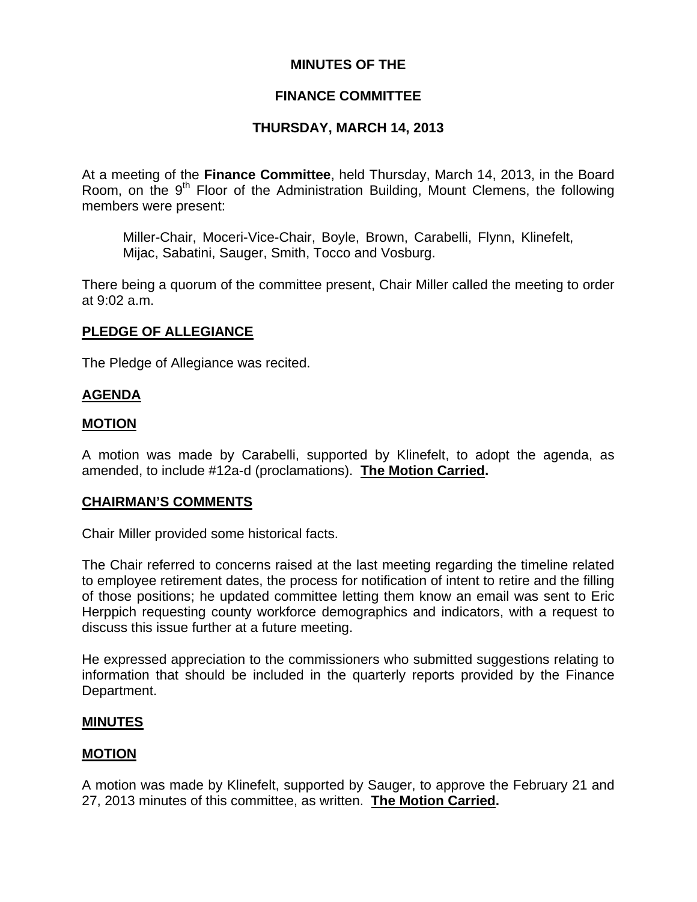# **MINUTES OF THE**

# **FINANCE COMMITTEE**

# **THURSDAY, MARCH 14, 2013**

At a meeting of the **Finance Committee**, held Thursday, March 14, 2013, in the Board Room, on the  $9<sup>th</sup>$  Floor of the Administration Building, Mount Clemens, the following members were present:

Miller-Chair, Moceri-Vice-Chair, Boyle, Brown, Carabelli, Flynn, Klinefelt, Mijac, Sabatini, Sauger, Smith, Tocco and Vosburg.

There being a quorum of the committee present, Chair Miller called the meeting to order at 9:02 a.m.

# **PLEDGE OF ALLEGIANCE**

The Pledge of Allegiance was recited.

# **AGENDA**

# **MOTION**

A motion was made by Carabelli, supported by Klinefelt, to adopt the agenda, as amended, to include #12a-d (proclamations). **The Motion Carried.** 

# **CHAIRMAN'S COMMENTS**

Chair Miller provided some historical facts.

The Chair referred to concerns raised at the last meeting regarding the timeline related to employee retirement dates, the process for notification of intent to retire and the filling of those positions; he updated committee letting them know an email was sent to Eric Herppich requesting county workforce demographics and indicators, with a request to discuss this issue further at a future meeting.

He expressed appreciation to the commissioners who submitted suggestions relating to information that should be included in the quarterly reports provided by the Finance Department.

# **MINUTES**

# **MOTION**

A motion was made by Klinefelt, supported by Sauger, to approve the February 21 and 27, 2013 minutes of this committee, as written. **The Motion Carried.**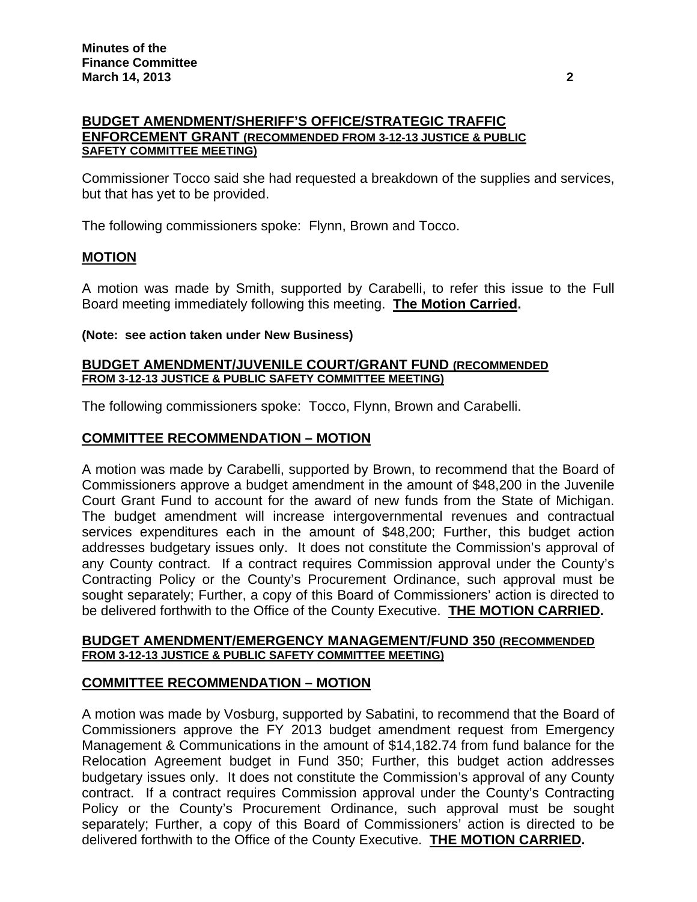## **BUDGET AMENDMENT/SHERIFF'S OFFICE/STRATEGIC TRAFFIC ENFORCEMENT GRANT (RECOMMENDED FROM 3-12-13 JUSTICE & PUBLIC SAFETY COMMITTEE MEETING)**

Commissioner Tocco said she had requested a breakdown of the supplies and services, but that has yet to be provided.

The following commissioners spoke: Flynn, Brown and Tocco.

# **MOTION**

A motion was made by Smith, supported by Carabelli, to refer this issue to the Full Board meeting immediately following this meeting. **The Motion Carried.** 

### **(Note: see action taken under New Business)**

### **BUDGET AMENDMENT/JUVENILE COURT/GRANT FUND (RECOMMENDED FROM 3-12-13 JUSTICE & PUBLIC SAFETY COMMITTEE MEETING)**

The following commissioners spoke: Tocco, Flynn, Brown and Carabelli.

## **COMMITTEE RECOMMENDATION – MOTION**

A motion was made by Carabelli, supported by Brown, to recommend that the Board of Commissioners approve a budget amendment in the amount of \$48,200 in the Juvenile Court Grant Fund to account for the award of new funds from the State of Michigan. The budget amendment will increase intergovernmental revenues and contractual services expenditures each in the amount of \$48,200; Further, this budget action addresses budgetary issues only. It does not constitute the Commission's approval of any County contract. If a contract requires Commission approval under the County's Contracting Policy or the County's Procurement Ordinance, such approval must be sought separately; Further, a copy of this Board of Commissioners' action is directed to be delivered forthwith to the Office of the County Executive. **THE MOTION CARRIED.** 

#### **BUDGET AMENDMENT/EMERGENCY MANAGEMENT/FUND 350 (RECOMMENDED FROM 3-12-13 JUSTICE & PUBLIC SAFETY COMMITTEE MEETING)**

# **COMMITTEE RECOMMENDATION – MOTION**

A motion was made by Vosburg, supported by Sabatini, to recommend that the Board of Commissioners approve the FY 2013 budget amendment request from Emergency Management & Communications in the amount of \$14,182.74 from fund balance for the Relocation Agreement budget in Fund 350; Further, this budget action addresses budgetary issues only. It does not constitute the Commission's approval of any County contract. If a contract requires Commission approval under the County's Contracting Policy or the County's Procurement Ordinance, such approval must be sought separately; Further, a copy of this Board of Commissioners' action is directed to be delivered forthwith to the Office of the County Executive. **THE MOTION CARRIED.**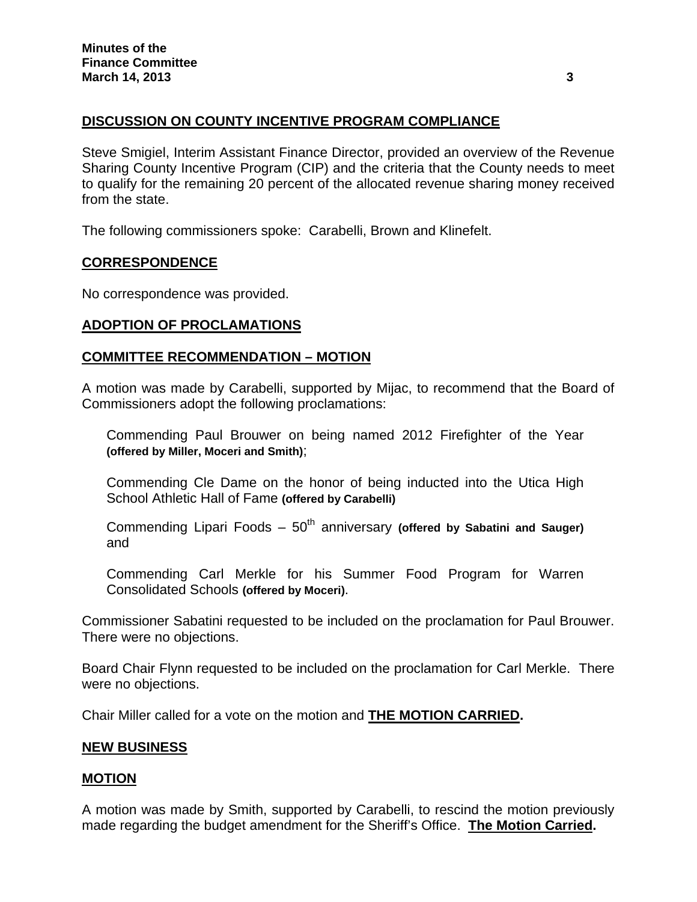# **DISCUSSION ON COUNTY INCENTIVE PROGRAM COMPLIANCE**

Steve Smigiel, Interim Assistant Finance Director, provided an overview of the Revenue Sharing County Incentive Program (CIP) and the criteria that the County needs to meet to qualify for the remaining 20 percent of the allocated revenue sharing money received from the state.

The following commissioners spoke: Carabelli, Brown and Klinefelt.

## **CORRESPONDENCE**

No correspondence was provided.

# **ADOPTION OF PROCLAMATIONS**

## **COMMITTEE RECOMMENDATION – MOTION**

A motion was made by Carabelli, supported by Mijac, to recommend that the Board of Commissioners adopt the following proclamations:

Commending Paul Brouwer on being named 2012 Firefighter of the Year **(offered by Miller, Moceri and Smith)**;

Commending Cle Dame on the honor of being inducted into the Utica High School Athletic Hall of Fame **(offered by Carabelli)** 

Commending Lipari Foods – 50<sup>th</sup> anniversary (offered by Sabatini and Sauger) and

Commending Carl Merkle for his Summer Food Program for Warren Consolidated Schools **(offered by Moceri)**.

Commissioner Sabatini requested to be included on the proclamation for Paul Brouwer. There were no objections.

Board Chair Flynn requested to be included on the proclamation for Carl Merkle. There were no objections.

Chair Miller called for a vote on the motion and **THE MOTION CARRIED.** 

### **NEW BUSINESS**

### **MOTION**

A motion was made by Smith, supported by Carabelli, to rescind the motion previously made regarding the budget amendment for the Sheriff's Office. **The Motion Carried.**